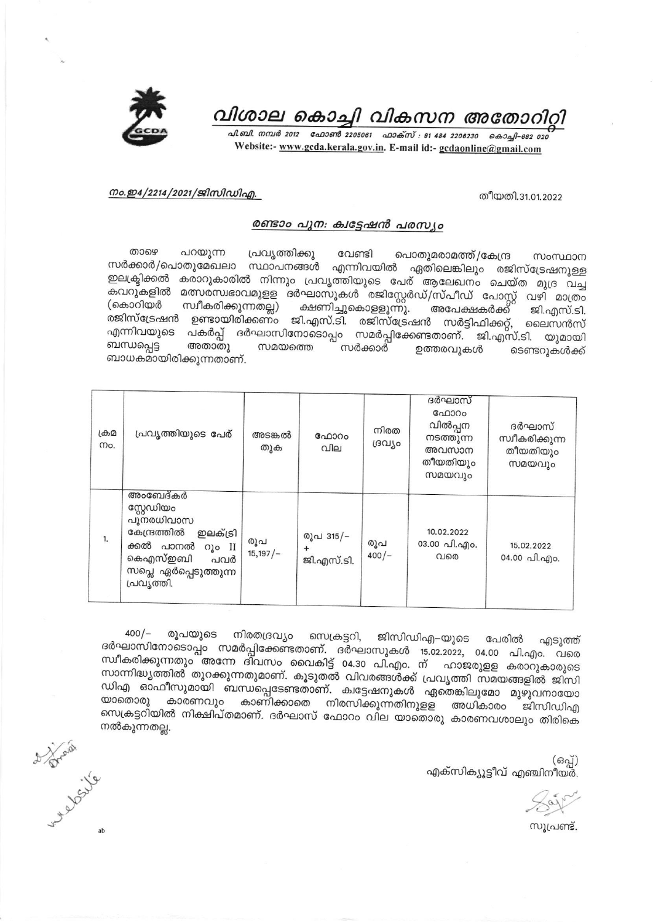

## വിശാല കൊച്ചി വികസന അതോറിറ്റി

പി.ബി. നമ്പർ 2012 - ഫോൺ 2205061 - ഫാക്സ് : 91 484 2206230 - കൊച്ചി-682 020 Website:- www.gcda.kerala.gov.in. E-mail id:- gcdaonline@gmail.com

## നം.ഇ4/2214/2021/ജിസിഡിഎ.

തീയതി.31.01.2022

## രണ്ടാം പുന: ക്വട്ടേഷൻ പരസ്യം

താഴെ പറയുന്ന പ്രവൃത്തിക്കു വേണ്ടി പൊതുമരാമത്ത്/കേന്ദ്ര സംസ്ഥാന സർക്കാർ/പൊതുമേഖലാ സ്ഥാപനങ്ങൾ എന്നിവയിൽ ഏതിലെങ്കിലും രജിസ്ട്രേഷനുള്ള കരാറുകാരിൽ നിന്നും പ്രവൃത്തിയുടെ പേര് ആലേഖനം ചെയ്ത മുദ്ര വച്ച ഇലക്ട്രിക്കൽ മത്സര്സ്വഭാവമുളള ദർഘാസുകൾ രജിസ്റ്റേർഡ്/സ്പീഡ് പോസ്റ്റ് വഴി മാത്രം കവറുകളിൽ സ്വീകരിക്കുന്നതല്ല) (കൊറിയർ ക്ഷണിച്ചുകൊളളുന്നു. അപേക്ഷകർക്ക് ജി.എസ്.ടി. രജിസ്ട്രേഷൻ ഉണ്ടായിരിക്കണം ജി.എസ്.ടി. രജിസ്ട്രേഷൻ സർട്ടിഫിക്കറ്റ്, ലൈസൻസ് എന്നിവയുടെ പകർപ്പ് ദർഘാസിനോടൊപ്പം സമർപ്പിക്കേണ്ടതാണ്. ജി.എസ്.ടി. യുമായി ബന്ധപ്പെട്ട അതാതു സമയത്തെ സർക്കാർ ഉത്തരവുകൾ ടെണ്ടറുകൾക്ക് ബാധകമായിരിക്കുന്നതാണ്.

| ക്രമ<br>mo. | പ്രവൃത്തിയുടെ പേര്                                                                                                                                | അടങ്കൽ<br>തുക   | ഫോറം<br>വില             | നിരത<br>ദ്രവ്യം | ദർഘാസ്<br>ഫോറം<br>വിൽപ്പന<br>നടത്തുന്ന<br>അവസാന<br>തീയതിയും<br>സമയവും | ദർഘാസ്<br>സ്വീകരിക്കുന്ന<br>തീയതിയും<br>സമയവും |
|-------------|---------------------------------------------------------------------------------------------------------------------------------------------------|-----------------|-------------------------|-----------------|-----------------------------------------------------------------------|------------------------------------------------|
| 1.          | അംബേദ്കർ<br>സ്റ്റേഡിയം<br>പുനരധിവാസ<br>കേന്ദ്രത്തിൽ<br>ഇലക്ട്രി<br>ക്കൽ പാനൽ<br>റൂം II<br>കെഎസ്ഇബി<br>പവർ<br>സപ്ലെ ഏർപ്പെടുത്തുന്ന<br>പ്രവ്യത്തി. | രൂപ<br>15,197/– | രൂപ 315/-<br>ജി.എസ്.ടി. | രൂപ<br>$400/-$  | 10.02.2022<br>03.00 പി.എം.<br>വരെ                                     | 15.02.2022<br>04.00 പി.എം.                     |

 $400/-$ രൂപയുടെ നിരതദ്രവ്യം സെക്രട്ടറി, ജിസിഡിഎ–യുടെ പേരിൽ എടുത്ത് ദർഘാസിനോടൊപ്പം സമർപ്പിക്കേണ്ടതാണ്. ദർഘാസുകൾ 15.02.2022, 04.00 പി.എം. വരെ സ്ഥീകരിക്കുന്നതും അന്നേ ദിവസം വൈകിട്ട് 04.30 പി.എം. ന് ഹാജരുളള കരാറുകാരുടെ സാന്നിദ്ധ്യത്തിൽ തുറക്കുന്നതുമാണ്. കൂടുതൽ വിവരങ്ങൾക്ക് പ്രവൃത്തി സമയങ്ങളിൽ ജിസി ഡിഎ ഓഫീസുമായി ബന്ധപ്പെടേണ്ടതാണ്. ക്വട്ടേഷനുകൾ ഏതെങ്കിലുമോ മുഴുവനായോ യാതൊരു കാരണവും കാണിക്കാതെ നിരസിക്കുന്നതിനുളള അധികാരം ജിസിഡിഎ സെക്രട്ടറിയിൽ നിക്ഷിപ്തമാണ്. ദർഘാസ് ഫോറം വില യാതൊരു കാരണവശാലും തിരികെ നൽകുന്നതല്ല.

> (ഒപ്പ്) എക്സിക്യൂട്ടീവ് എഞ്ചിനീയർ.

സൂപ്രണ്ട്.

d prail